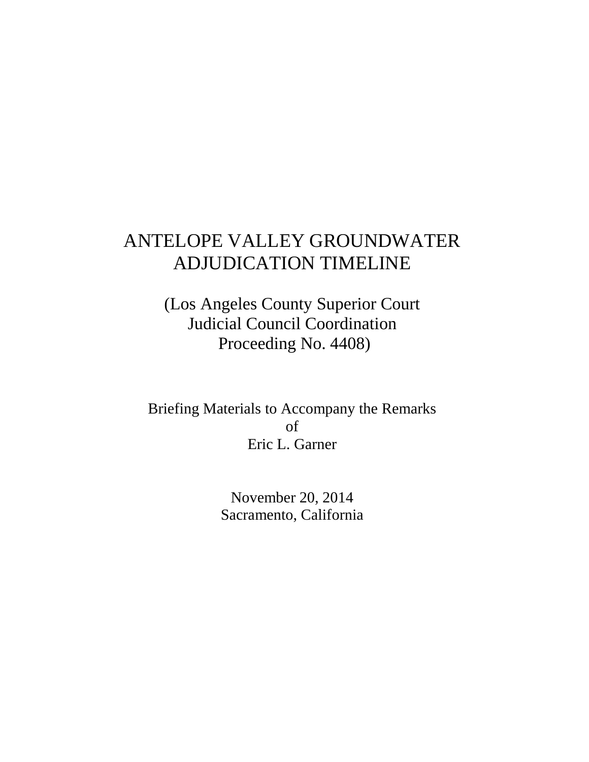# ANTELOPE VALLEY GROUNDWATER ADJUDICATION TIMELINE

(Los Angeles County Superior Court Judicial Council Coordination Proceeding No. 4408)

Briefing Materials to Accompany the Remarks of Eric L. Garner

> November 20, 2014 Sacramento, California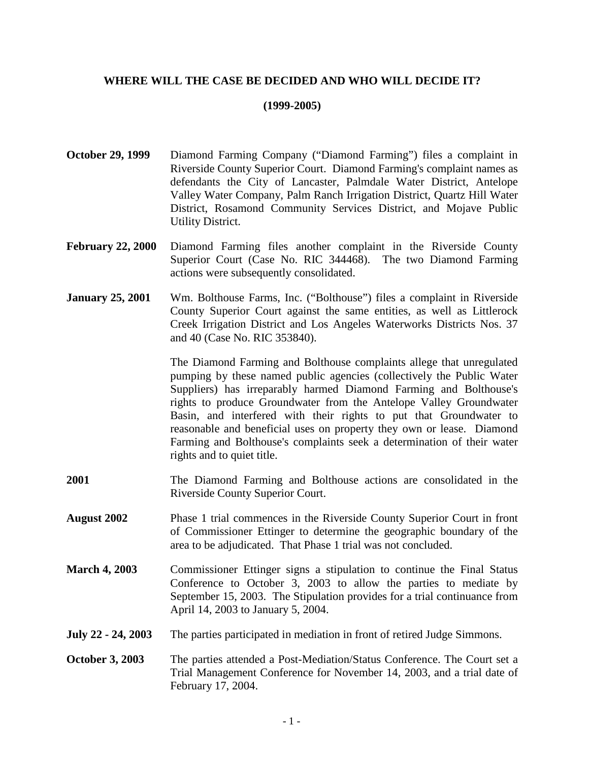## **WHERE WILL THE CASE BE DECIDED AND WHO WILL DECIDE IT?**

### **(1999-2005)**

- **October 29, 1999** Diamond Farming Company ("Diamond Farming") files a complaint in Riverside County Superior Court. Diamond Farming's complaint names as defendants the City of Lancaster, Palmdale Water District, Antelope Valley Water Company, Palm Ranch Irrigation District, Quartz Hill Water District, Rosamond Community Services District, and Mojave Public Utility District.
- **February 22, 2000** Diamond Farming files another complaint in the Riverside County Superior Court (Case No. RIC 344468). The two Diamond Farming actions were subsequently consolidated.
- **January 25, 2001** Wm. Bolthouse Farms, Inc. ("Bolthouse") files a complaint in Riverside County Superior Court against the same entities, as well as Littlerock Creek Irrigation District and Los Angeles Waterworks Districts Nos. 37 and 40 (Case No. RIC 353840).

The Diamond Farming and Bolthouse complaints allege that unregulated pumping by these named public agencies (collectively the Public Water Suppliers) has irreparably harmed Diamond Farming and Bolthouse's rights to produce Groundwater from the Antelope Valley Groundwater Basin, and interfered with their rights to put that Groundwater to reasonable and beneficial uses on property they own or lease. Diamond Farming and Bolthouse's complaints seek a determination of their water rights and to quiet title.

- **2001** The Diamond Farming and Bolthouse actions are consolidated in the Riverside County Superior Court.
- **August 2002** Phase 1 trial commences in the Riverside County Superior Court in front of Commissioner Ettinger to determine the geographic boundary of the area to be adjudicated. That Phase 1 trial was not concluded.
- **March 4, 2003** Commissioner Ettinger signs a stipulation to continue the Final Status Conference to October 3, 2003 to allow the parties to mediate by September 15, 2003. The Stipulation provides for a trial continuance from April 14, 2003 to January 5, 2004.
- **July 22 24, 2003** The parties participated in mediation in front of retired Judge Simmons.
- **October 3, 2003** The parties attended a Post-Mediation/Status Conference. The Court set a Trial Management Conference for November 14, 2003, and a trial date of February 17, 2004.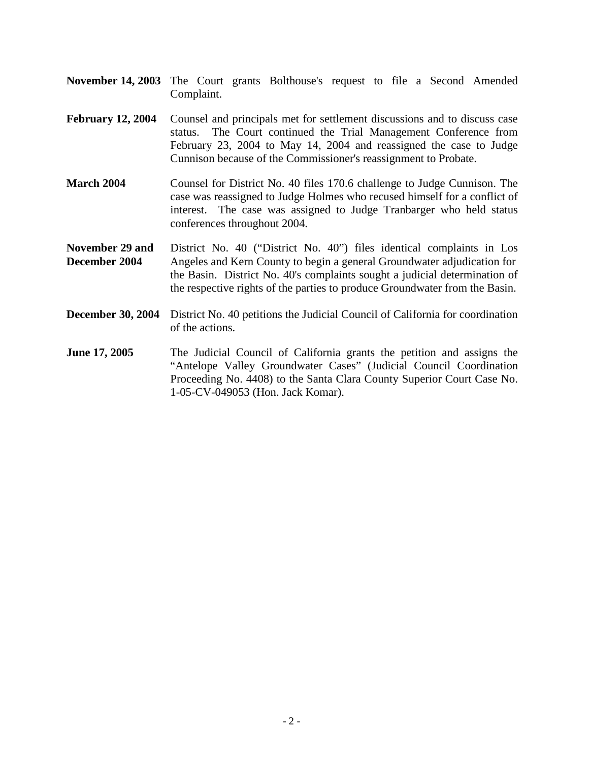- **November 14, 2003** The Court grants Bolthouse's request to file a Second Amended Complaint.
- **February 12, 2004** Counsel and principals met for settlement discussions and to discuss case status. The Court continued the Trial Management Conference from February 23, 2004 to May 14, 2004 and reassigned the case to Judge Cunnison because of the Commissioner's reassignment to Probate.
- **March 2004** Counsel for District No. 40 files 170.6 challenge to Judge Cunnison. The case was reassigned to Judge Holmes who recused himself for a conflict of interest. The case was assigned to Judge Tranbarger who held status conferences throughout 2004.

**November 29 and** District No. 40 ("District No. 40") files identical complaints in Los **December 2004** Angeles and Kern County to begin a general Groundwater adjudication for the Basin. District No. 40's complaints sought a judicial determination of the respective rights of the parties to produce Groundwater from the Basin.

- **December 30, 2004** District No. 40 petitions the Judicial Council of California for coordination of the actions.
- **June 17, 2005** The Judicial Council of California grants the petition and assigns the "Antelope Valley Groundwater Cases" (Judicial Council Coordination Proceeding No. 4408) to the Santa Clara County Superior Court Case No. 1-05-CV-049053 (Hon. Jack Komar).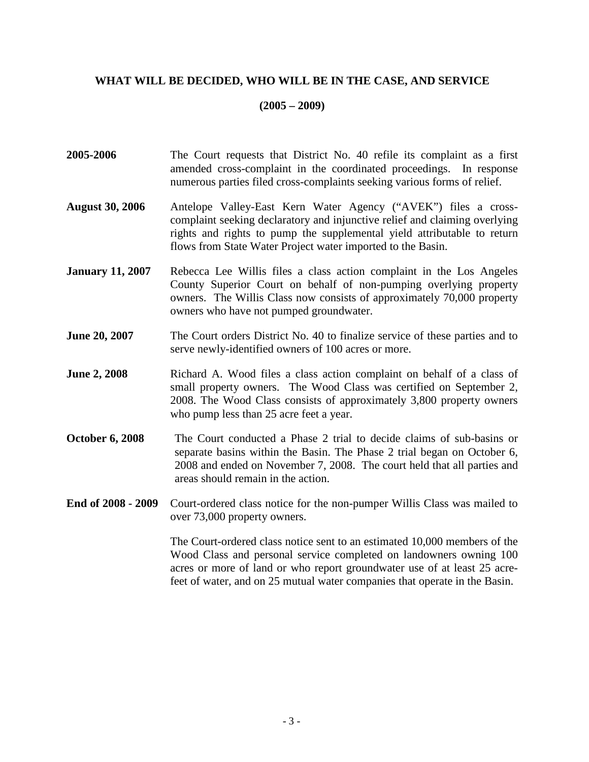# **WHAT WILL BE DECIDED, WHO WILL BE IN THE CASE, AND SERVICE**

#### **(2005 – 2009)**

- **2005-2006** The Court requests that District No. 40 refile its complaint as a first amended cross-complaint in the coordinated proceedings. In response numerous parties filed cross-complaints seeking various forms of relief.
- **August 30, 2006** Antelope Valley-East Kern Water Agency ("AVEK") files a crosscomplaint seeking declaratory and injunctive relief and claiming overlying rights and rights to pump the supplemental yield attributable to return flows from State Water Project water imported to the Basin.
- **January 11, 2007** Rebecca Lee Willis files a class action complaint in the Los Angeles County Superior Court on behalf of non-pumping overlying property owners. The Willis Class now consists of approximately 70,000 property owners who have not pumped groundwater.
- **June 20, 2007** The Court orders District No. 40 to finalize service of these parties and to serve newly-identified owners of 100 acres or more.
- **June 2, 2008** Richard A. Wood files a class action complaint on behalf of a class of small property owners. The Wood Class was certified on September 2, 2008. The Wood Class consists of approximately 3,800 property owners who pump less than 25 acre feet a year.
- **October 6, 2008** The Court conducted a Phase 2 trial to decide claims of sub-basins or separate basins within the Basin. The Phase 2 trial began on October 6, 2008 and ended on November 7, 2008. The court held that all parties and areas should remain in the action.
- **End of 2008 2009** Court-ordered class notice for the non-pumper Willis Class was mailed to over 73,000 property owners.

The Court-ordered class notice sent to an estimated 10,000 members of the Wood Class and personal service completed on landowners owning 100 acres or more of land or who report groundwater use of at least 25 acrefeet of water, and on 25 mutual water companies that operate in the Basin.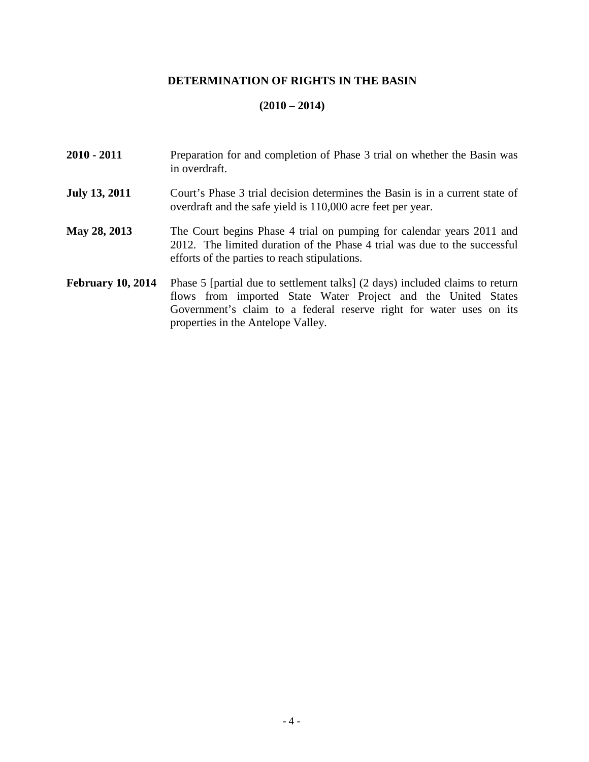# **DETERMINATION OF RIGHTS IN THE BASIN**

# **(2010 – 2014)**

| 2010 - 2011              | Preparation for and completion of Phase 3 trial on whether the Basin was<br>in overdraft.                                                                                                                            |
|--------------------------|----------------------------------------------------------------------------------------------------------------------------------------------------------------------------------------------------------------------|
| <b>July 13, 2011</b>     | Court's Phase 3 trial decision determines the Basin is in a current state of<br>overdraft and the safe yield is 110,000 acre feet per year.                                                                          |
| <b>May 28, 2013</b>      | The Court begins Phase 4 trial on pumping for calendar years 2011 and<br>2012. The limited duration of the Phase 4 trial was due to the successful<br>efforts of the parties to reach stipulations.                  |
| <b>February 10, 2014</b> | Phase 5 [partial due to settlement talks] (2 days) included claims to return<br>flows from imported State Water Project and the United States<br>Government's claim to a federal reserve right for water uses on its |

properties in the Antelope Valley.